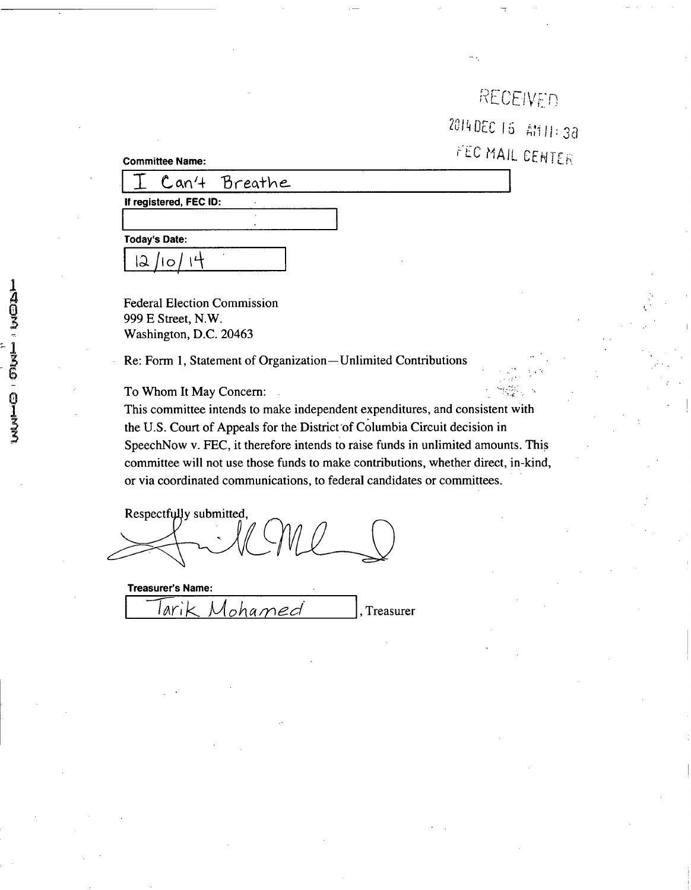| RECEIVED             |  |
|----------------------|--|
| 2014 DEC 15 AM 11:38 |  |
| FEC MAIL CENTER      |  |

**Committee Name:** 

Can't Breathe

**If registered, FEC ID:** 

**Today's Date:** 

 $\overline{2}$  /10

Federal Election Commission 999 E Street, N.W. Washington, D.C. 20463

Re: Form 1, Statement of Organization—Unlimited Contributions

To Whom It May Concern:

This committee intends to make independent expenditures, and consistent with the U.S. Court of Appeals for the District of Columbia Circuit decision in SpeechNow v. FEC, it therefore intends to raise funds in unlimited amounts. This committee will not use those funds to make contributions, whether direct, in-kind, or via coordinated communications, to federal candidates or committees.

Respectfully submitted,

| Treasurer's Name: |        |
|-------------------|--------|
| Mohamed           | asurer |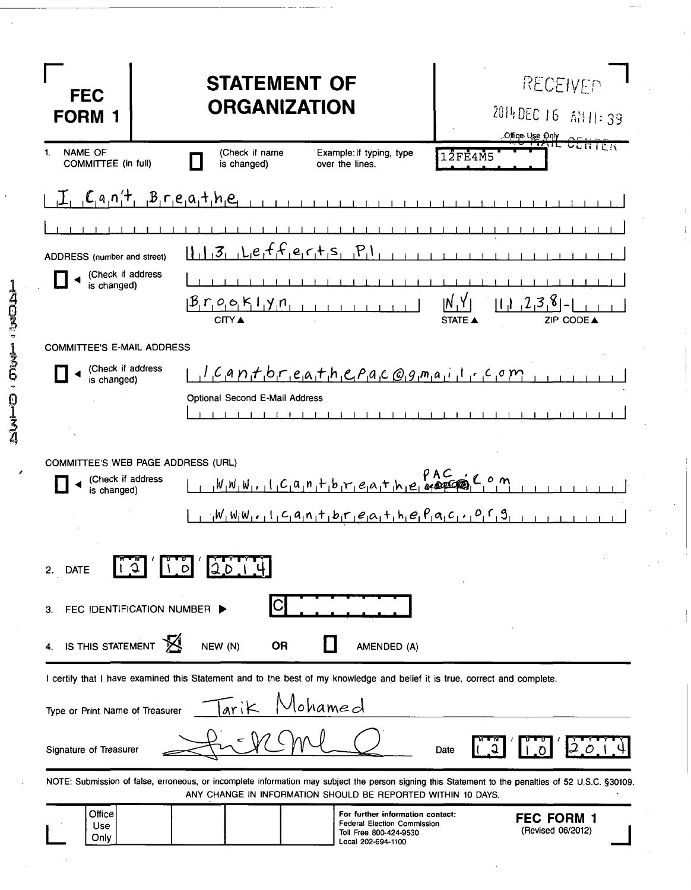| <b>FEC</b><br><b>FORM</b>                   | <b>STATEMENT OF</b><br><b>ORGANIZATION</b>                                                                                                                                                                          | RECEIVED<br>2014 DEC 16 AM11:39<br>Office Use Only |
|---------------------------------------------|---------------------------------------------------------------------------------------------------------------------------------------------------------------------------------------------------------------------|----------------------------------------------------|
| <b>NAME OF</b><br>1.<br>COMMITTEE (in full) | (Check if name<br>Example: If typing, type<br>is changed)<br>over the lines.                                                                                                                                        | <del>NE CENTE</del> N<br><b>12FE4M5</b>            |
|                                             | $C_{1}a_{1}n_{1}!$ , $B_{1}r_{1}e_{1}a_{1}!$ , $b_{1}e_{1}$                                                                                                                                                         |                                                    |
|                                             |                                                                                                                                                                                                                     |                                                    |
| ADDRESS (number and street)                 | $13$ $1.1e_1f_1f_1e_1f_1s_1P_1$                                                                                                                                                                                     |                                                    |
| (Check if address<br>is changed)            |                                                                                                                                                                                                                     |                                                    |
|                                             | $\beta_{\rm i}r_{\rm i}o_{\rm i}c_{\rm i}K_{\rm i}l_{\rm i}y_{\rm i}n$                                                                                                                                              | 238<br>۱N<br>It a<br>ZIP CODE A<br><b>STATE ▲</b>  |
| <b>COMMITTEE'S E-MAIL ADDRESS</b>           |                                                                                                                                                                                                                     |                                                    |
| (Check if address<br>is changed)            | $1.497 f b r e a f h c P a c Q g m a i l r c o m$                                                                                                                                                                   |                                                    |
|                                             | Optional Second E-Mail Address                                                                                                                                                                                      |                                                    |
|                                             |                                                                                                                                                                                                                     |                                                    |
|                                             |                                                                                                                                                                                                                     |                                                    |
| (Check if address                           | COMMITTEE'S WEB PAGE ADDRESS (URL)                                                                                                                                                                                  |                                                    |
| is changed)                                 |                                                                                                                                                                                                                     |                                                    |
|                                             | $1-\frac{1}{2}W_1W_1W_1$ , $1-C_1A_1N_1+1$ bir $e_1A_1+1$ , $e_1P_1A_1C_1$ , $0C_1$                                                                                                                                 |                                                    |
| 2. DATE                                     | <b>LALALA</b><br>20, 14<br>$\mathcal{L}$ of                                                                                                                                                                         |                                                    |
| З.                                          | FEC IDENTIFICATION NUMBER                                                                                                                                                                                           |                                                    |
| IS THIS STATEMENT                           | NEW (N)<br><b>OR</b><br>AMENDED (A)                                                                                                                                                                                 |                                                    |
|                                             | I certify that I have examined this Statement and to the best of my knowledge and belief it is true, correct and complete.                                                                                          |                                                    |
| Type or Print Name of Treasurer             | lohamed<br>arik                                                                                                                                                                                                     |                                                    |
| Signature of Treasurer                      |                                                                                                                                                                                                                     | Date                                               |
|                                             | NOTE: Submission of false, erroneous, or incomplete information may subject the person signing this Statement to the penalties of 52 U.S.C. §30109.<br>ANY CHANGE IN INFORMATION SHOULD BE REPORTED WITHIN 10 DAYS. |                                                    |
| Office<br>Use<br>Only                       | For further information contact:<br><b>Federal Election Commission</b><br>Toll Free 800-424-9530<br>Local 202-694-1100                                                                                              | <b>FEC FORM 1</b><br>(Revised 06/2012)             |

 $\frac{1}{2}$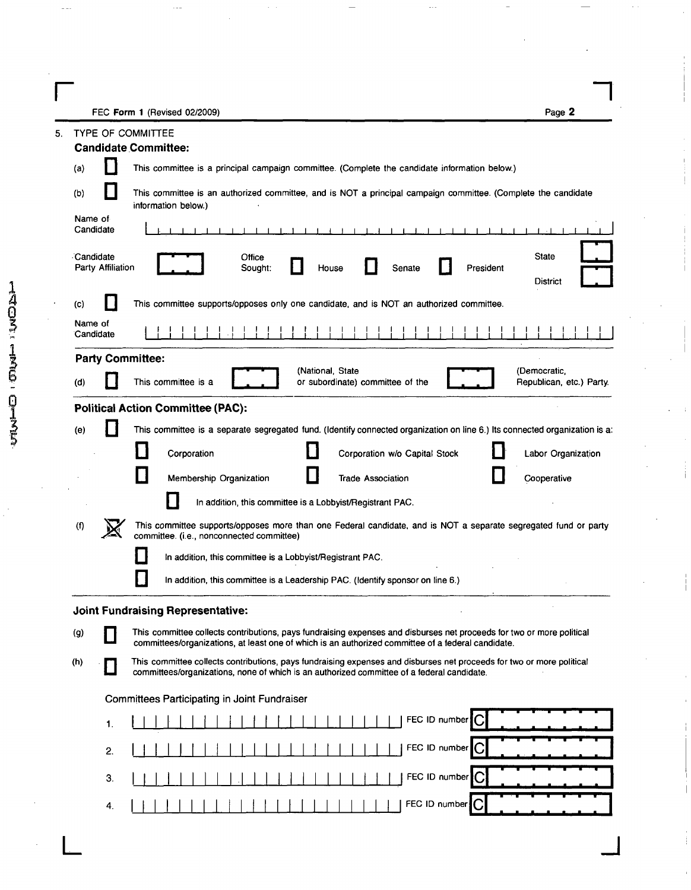**r** and *n*  $\overline{r}$  **r**  $\overline{r}$  **r**  $\overline{r}$  **r**  $\overline{r}$  **r**  $\overline{r}$  **r**  $\overline{r}$  **r**  $\overline{r}$  **r**  $\overline{r}$  **r**  $\overline{r}$  **r**  $\overline{r}$  **r**  $\overline{r}$  **r**  $\overline{r}$  **r**  $\overline{r}$  **r**  $\overline{r}$  **r**  $\overline{r}$  **r**  $\overline{r}$  **r**  $\$ FEC Form 1 (Revised 02/2009) **Page 2** 

| <b>Candidate Committee:</b><br>This committee is a principal campaign committee. (Complete the candidate information below.)<br>(a)<br>This committee is an authorized committee, and is NOT a principal campaign committee. (Complete the candidate<br>(b)<br>information below.)<br>Name of<br>Candidate<br>$-1$ $-1$ $-1$ $-1$<br>$\blacksquare$<br>Candidate<br><b>State</b><br>Office<br>Party Affiliation<br>Senate<br>President<br>Sought:<br>House<br><b>District</b><br>This committee supports/opposes only one candidate, and is NOT an authorized committee.<br>$\mathbf{(c)}$<br>Name of<br>Candidate<br><b>Party Committee:</b><br>(National, State<br>(Democratic,<br>This committee is a<br>or subordinate) committee of the<br>Republican, etc.) Party.<br>(d)<br><b>Political Action Committee (PAC):</b><br>This committee is a separate segregated fund. (Identify connected organization on line 6.) Its connected organization is a:<br>(e)<br>Corporation<br>Corporation w/o Capital Stock<br>Labor Organization<br>Membership Organization<br><b>Trade Association</b><br>Cooperative<br>In addition, this committee is a Lobbyist/Registrant PAC.<br>This committee supports/opposes more than one Federal candidate, and is NOT a separate segregated fund or party<br>$($ f)<br>committee. (i.e., nonconnected committee)<br>In addition, this committee is a Lobbyist/Registrant PAC.<br>In addition, this committee is a Leadership PAC. (Identify sponsor on line 6.)<br><b>Joint Fundraising Representative:</b><br>$\left( 9\right)$<br>This committee collects contributions, pays fundraising expenses and disburses net proceeds for two or more political<br>committees/organizations, at least one of which is an authorized committee of a federal candidate.<br>This committee collects contributions, pays fundraising expenses and disburses net proceeds for two or more political<br>(h)<br>committees/organizations, none of which is an authorized committee of a federal candidate.<br>Committees Participating in Joint Fundraiser<br>FEC ID number<br>1.<br>FEC ID number<br>2.<br>FEC ID number<br>3.<br>FEC ID number <sup>1</sup> C<br>4. | 5. | <b>TYPE OF COMMITTEE</b> |
|----------------------------------------------------------------------------------------------------------------------------------------------------------------------------------------------------------------------------------------------------------------------------------------------------------------------------------------------------------------------------------------------------------------------------------------------------------------------------------------------------------------------------------------------------------------------------------------------------------------------------------------------------------------------------------------------------------------------------------------------------------------------------------------------------------------------------------------------------------------------------------------------------------------------------------------------------------------------------------------------------------------------------------------------------------------------------------------------------------------------------------------------------------------------------------------------------------------------------------------------------------------------------------------------------------------------------------------------------------------------------------------------------------------------------------------------------------------------------------------------------------------------------------------------------------------------------------------------------------------------------------------------------------------------------------------------------------------------------------------------------------------------------------------------------------------------------------------------------------------------------------------------------------------------------------------------------------------------------------------------------------------------------------------------------------------------------------------------------------------------------------------------------------------------------------------------|----|--------------------------|
|                                                                                                                                                                                                                                                                                                                                                                                                                                                                                                                                                                                                                                                                                                                                                                                                                                                                                                                                                                                                                                                                                                                                                                                                                                                                                                                                                                                                                                                                                                                                                                                                                                                                                                                                                                                                                                                                                                                                                                                                                                                                                                                                                                                              |    |                          |
|                                                                                                                                                                                                                                                                                                                                                                                                                                                                                                                                                                                                                                                                                                                                                                                                                                                                                                                                                                                                                                                                                                                                                                                                                                                                                                                                                                                                                                                                                                                                                                                                                                                                                                                                                                                                                                                                                                                                                                                                                                                                                                                                                                                              |    |                          |
|                                                                                                                                                                                                                                                                                                                                                                                                                                                                                                                                                                                                                                                                                                                                                                                                                                                                                                                                                                                                                                                                                                                                                                                                                                                                                                                                                                                                                                                                                                                                                                                                                                                                                                                                                                                                                                                                                                                                                                                                                                                                                                                                                                                              |    |                          |
|                                                                                                                                                                                                                                                                                                                                                                                                                                                                                                                                                                                                                                                                                                                                                                                                                                                                                                                                                                                                                                                                                                                                                                                                                                                                                                                                                                                                                                                                                                                                                                                                                                                                                                                                                                                                                                                                                                                                                                                                                                                                                                                                                                                              |    |                          |
|                                                                                                                                                                                                                                                                                                                                                                                                                                                                                                                                                                                                                                                                                                                                                                                                                                                                                                                                                                                                                                                                                                                                                                                                                                                                                                                                                                                                                                                                                                                                                                                                                                                                                                                                                                                                                                                                                                                                                                                                                                                                                                                                                                                              |    |                          |
|                                                                                                                                                                                                                                                                                                                                                                                                                                                                                                                                                                                                                                                                                                                                                                                                                                                                                                                                                                                                                                                                                                                                                                                                                                                                                                                                                                                                                                                                                                                                                                                                                                                                                                                                                                                                                                                                                                                                                                                                                                                                                                                                                                                              |    |                          |
|                                                                                                                                                                                                                                                                                                                                                                                                                                                                                                                                                                                                                                                                                                                                                                                                                                                                                                                                                                                                                                                                                                                                                                                                                                                                                                                                                                                                                                                                                                                                                                                                                                                                                                                                                                                                                                                                                                                                                                                                                                                                                                                                                                                              |    |                          |
|                                                                                                                                                                                                                                                                                                                                                                                                                                                                                                                                                                                                                                                                                                                                                                                                                                                                                                                                                                                                                                                                                                                                                                                                                                                                                                                                                                                                                                                                                                                                                                                                                                                                                                                                                                                                                                                                                                                                                                                                                                                                                                                                                                                              |    |                          |
|                                                                                                                                                                                                                                                                                                                                                                                                                                                                                                                                                                                                                                                                                                                                                                                                                                                                                                                                                                                                                                                                                                                                                                                                                                                                                                                                                                                                                                                                                                                                                                                                                                                                                                                                                                                                                                                                                                                                                                                                                                                                                                                                                                                              |    |                          |
|                                                                                                                                                                                                                                                                                                                                                                                                                                                                                                                                                                                                                                                                                                                                                                                                                                                                                                                                                                                                                                                                                                                                                                                                                                                                                                                                                                                                                                                                                                                                                                                                                                                                                                                                                                                                                                                                                                                                                                                                                                                                                                                                                                                              |    |                          |
|                                                                                                                                                                                                                                                                                                                                                                                                                                                                                                                                                                                                                                                                                                                                                                                                                                                                                                                                                                                                                                                                                                                                                                                                                                                                                                                                                                                                                                                                                                                                                                                                                                                                                                                                                                                                                                                                                                                                                                                                                                                                                                                                                                                              |    |                          |
|                                                                                                                                                                                                                                                                                                                                                                                                                                                                                                                                                                                                                                                                                                                                                                                                                                                                                                                                                                                                                                                                                                                                                                                                                                                                                                                                                                                                                                                                                                                                                                                                                                                                                                                                                                                                                                                                                                                                                                                                                                                                                                                                                                                              |    |                          |
|                                                                                                                                                                                                                                                                                                                                                                                                                                                                                                                                                                                                                                                                                                                                                                                                                                                                                                                                                                                                                                                                                                                                                                                                                                                                                                                                                                                                                                                                                                                                                                                                                                                                                                                                                                                                                                                                                                                                                                                                                                                                                                                                                                                              |    |                          |
|                                                                                                                                                                                                                                                                                                                                                                                                                                                                                                                                                                                                                                                                                                                                                                                                                                                                                                                                                                                                                                                                                                                                                                                                                                                                                                                                                                                                                                                                                                                                                                                                                                                                                                                                                                                                                                                                                                                                                                                                                                                                                                                                                                                              |    |                          |
|                                                                                                                                                                                                                                                                                                                                                                                                                                                                                                                                                                                                                                                                                                                                                                                                                                                                                                                                                                                                                                                                                                                                                                                                                                                                                                                                                                                                                                                                                                                                                                                                                                                                                                                                                                                                                                                                                                                                                                                                                                                                                                                                                                                              |    |                          |
|                                                                                                                                                                                                                                                                                                                                                                                                                                                                                                                                                                                                                                                                                                                                                                                                                                                                                                                                                                                                                                                                                                                                                                                                                                                                                                                                                                                                                                                                                                                                                                                                                                                                                                                                                                                                                                                                                                                                                                                                                                                                                                                                                                                              |    |                          |
|                                                                                                                                                                                                                                                                                                                                                                                                                                                                                                                                                                                                                                                                                                                                                                                                                                                                                                                                                                                                                                                                                                                                                                                                                                                                                                                                                                                                                                                                                                                                                                                                                                                                                                                                                                                                                                                                                                                                                                                                                                                                                                                                                                                              |    |                          |
|                                                                                                                                                                                                                                                                                                                                                                                                                                                                                                                                                                                                                                                                                                                                                                                                                                                                                                                                                                                                                                                                                                                                                                                                                                                                                                                                                                                                                                                                                                                                                                                                                                                                                                                                                                                                                                                                                                                                                                                                                                                                                                                                                                                              |    |                          |
|                                                                                                                                                                                                                                                                                                                                                                                                                                                                                                                                                                                                                                                                                                                                                                                                                                                                                                                                                                                                                                                                                                                                                                                                                                                                                                                                                                                                                                                                                                                                                                                                                                                                                                                                                                                                                                                                                                                                                                                                                                                                                                                                                                                              |    |                          |
|                                                                                                                                                                                                                                                                                                                                                                                                                                                                                                                                                                                                                                                                                                                                                                                                                                                                                                                                                                                                                                                                                                                                                                                                                                                                                                                                                                                                                                                                                                                                                                                                                                                                                                                                                                                                                                                                                                                                                                                                                                                                                                                                                                                              |    |                          |
|                                                                                                                                                                                                                                                                                                                                                                                                                                                                                                                                                                                                                                                                                                                                                                                                                                                                                                                                                                                                                                                                                                                                                                                                                                                                                                                                                                                                                                                                                                                                                                                                                                                                                                                                                                                                                                                                                                                                                                                                                                                                                                                                                                                              |    |                          |
|                                                                                                                                                                                                                                                                                                                                                                                                                                                                                                                                                                                                                                                                                                                                                                                                                                                                                                                                                                                                                                                                                                                                                                                                                                                                                                                                                                                                                                                                                                                                                                                                                                                                                                                                                                                                                                                                                                                                                                                                                                                                                                                                                                                              |    |                          |
|                                                                                                                                                                                                                                                                                                                                                                                                                                                                                                                                                                                                                                                                                                                                                                                                                                                                                                                                                                                                                                                                                                                                                                                                                                                                                                                                                                                                                                                                                                                                                                                                                                                                                                                                                                                                                                                                                                                                                                                                                                                                                                                                                                                              |    |                          |
|                                                                                                                                                                                                                                                                                                                                                                                                                                                                                                                                                                                                                                                                                                                                                                                                                                                                                                                                                                                                                                                                                                                                                                                                                                                                                                                                                                                                                                                                                                                                                                                                                                                                                                                                                                                                                                                                                                                                                                                                                                                                                                                                                                                              |    |                          |
|                                                                                                                                                                                                                                                                                                                                                                                                                                                                                                                                                                                                                                                                                                                                                                                                                                                                                                                                                                                                                                                                                                                                                                                                                                                                                                                                                                                                                                                                                                                                                                                                                                                                                                                                                                                                                                                                                                                                                                                                                                                                                                                                                                                              |    |                          |
|                                                                                                                                                                                                                                                                                                                                                                                                                                                                                                                                                                                                                                                                                                                                                                                                                                                                                                                                                                                                                                                                                                                                                                                                                                                                                                                                                                                                                                                                                                                                                                                                                                                                                                                                                                                                                                                                                                                                                                                                                                                                                                                                                                                              |    |                          |
|                                                                                                                                                                                                                                                                                                                                                                                                                                                                                                                                                                                                                                                                                                                                                                                                                                                                                                                                                                                                                                                                                                                                                                                                                                                                                                                                                                                                                                                                                                                                                                                                                                                                                                                                                                                                                                                                                                                                                                                                                                                                                                                                                                                              |    |                          |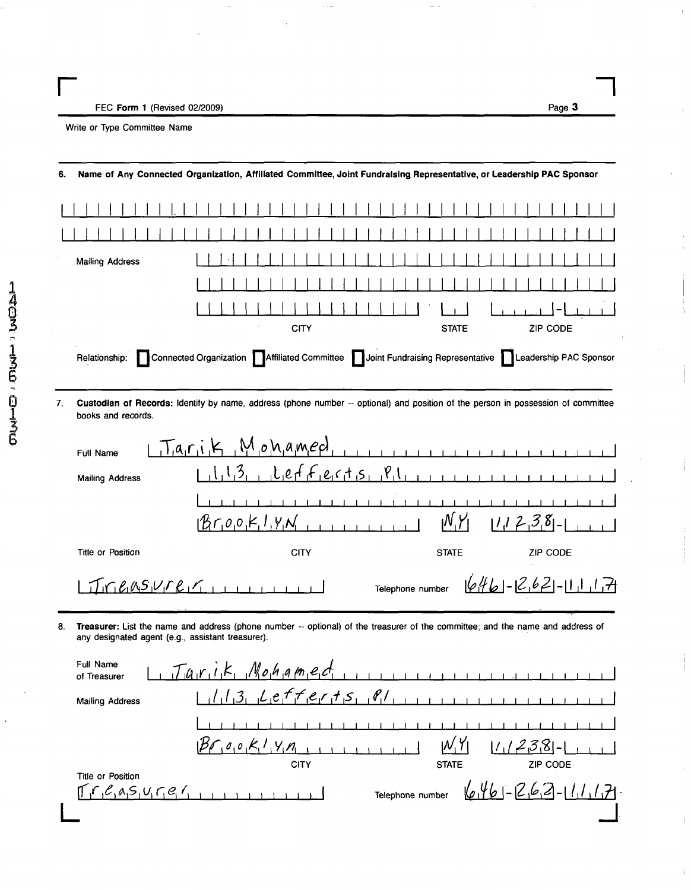**r** 550 Ferm 1 (Drifted 02/2000) FEC Form 1 (Revised 02/2009) **Page 3** 

 $\bar{1}$ 

Write or Type Committee Name

| 6. |                                                                 | Name of Any Connected Organization, Affiliated Committee, Joint Fundraising Representative, or Leadership PAC Sponsor                                  |
|----|-----------------------------------------------------------------|--------------------------------------------------------------------------------------------------------------------------------------------------------|
|    | <b>Mailing Address</b>                                          | CITY<br><b>STATE</b><br>ZIP CODE<br>Relationship: Connected Organization Affiliated Committee Joint Fundraising Representative JLeadership PAC Sponsor |
| 7. | books and records.                                              | Custodian of Records: Identify by name, address (phone number -- optional) and position of the person in possession of committee                       |
|    | Full Name                                                       | $T_{a,r,i,k}$ $M_{o}$ <i>n</i> $a$ <sub><i>med</i>,</sub><br>$\begin{array}{cccccccccc} 1 & 1 & 1 & 1 & 1 & 1 & 1 & 1 \end{array}$                     |
|    | <b>Mailing Address</b>                                          | $l_1$ l <sub>1</sub> e of $F_1$ e $c_1$ t <sub>1</sub> s <sub>11</sub> $P_1$<br>1.3 <sub>1</sub>                                                       |
|    |                                                                 | $Br_0$ <sub><math>Q_1</math></sub> $R_1$ , $V_1$ $N_1$<br>N, Y<br>$111238-1$                                                                           |
|    | Title or Position                                               | <b>CITY</b><br><b>STATE</b><br><b>ZIP CODE</b>                                                                                                         |
|    |                                                                 | $1646 - 262 - 11117$<br>Telephone number                                                                                                               |
| 8. | any designated agent (e.g., assistant treasurer).               | Treasurer: List the name and address (phone number -- optional) of the treasurer of the committee; and the name and address of                         |
|    | Full Name<br>of Treasurer                                       | $L$ , $Ta,r,i,k$ , $M_0h_1a$ $m_1e_1d_1$                                                                                                               |
|    | <b>Mailing Address</b>                                          | (1, 3, 2, 4, 5, 7, 7, 6, 7, 7, 5, 8)                                                                                                                   |
|    |                                                                 |                                                                                                                                                        |
|    |                                                                 | $B_{\ell}$ $\sigma_{1}$ $\sigma_{1}$ $K_{1}$ $\sigma_{1}$<br><u> 1   238 -</u>  <br><b>CITY</b><br><b>ZIP CODE</b><br><b>STATE</b>                     |
|    | Title or Position<br>$r_{1}e_{1}a_{1}s_{1}u_{1}r_{1}e_{1}r_{1}$ | $646 - 263 - 11177$<br>Telephone number                                                                                                                |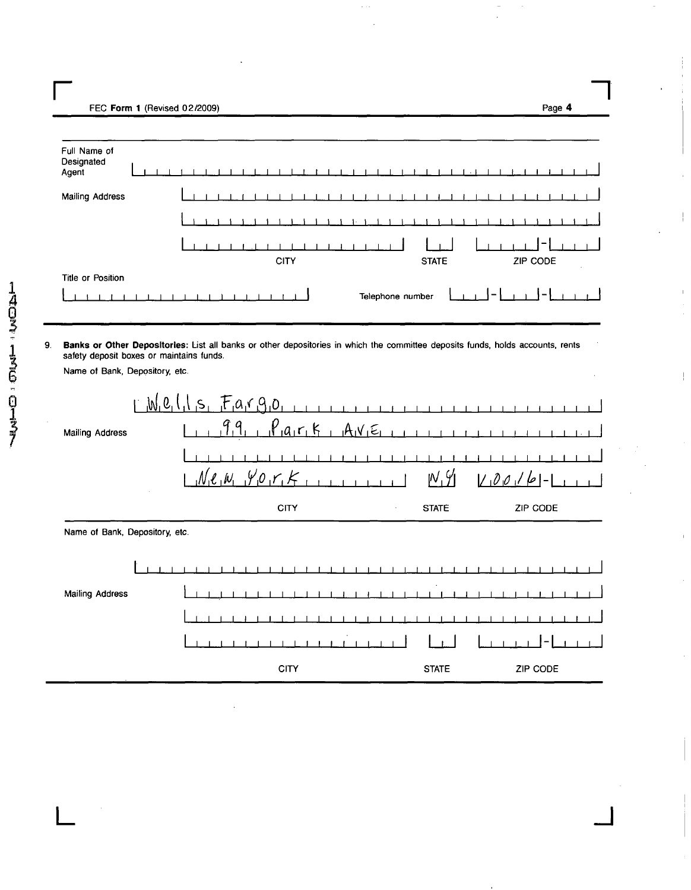FFC Form 1 (Revised 02/2009) FEC Form 1 (Revised 02/2009) Page 4

| Full Name of<br>Designated<br>Agent |  |  |  |  |  |  |  |             |  |  |  |  |  |                  |  |              |  |  |  |  |          |  |   |  |  |
|-------------------------------------|--|--|--|--|--|--|--|-------------|--|--|--|--|--|------------------|--|--------------|--|--|--|--|----------|--|---|--|--|
| <b>Mailing Address</b>              |  |  |  |  |  |  |  |             |  |  |  |  |  |                  |  |              |  |  |  |  |          |  |   |  |  |
|                                     |  |  |  |  |  |  |  |             |  |  |  |  |  |                  |  |              |  |  |  |  |          |  |   |  |  |
|                                     |  |  |  |  |  |  |  |             |  |  |  |  |  |                  |  |              |  |  |  |  |          |  | - |  |  |
|                                     |  |  |  |  |  |  |  | <b>CITY</b> |  |  |  |  |  |                  |  | <b>STATE</b> |  |  |  |  | ZIP CODE |  |   |  |  |
| Title or Position                   |  |  |  |  |  |  |  |             |  |  |  |  |  |                  |  |              |  |  |  |  |          |  |   |  |  |
|                                     |  |  |  |  |  |  |  |             |  |  |  |  |  | Telephone number |  |              |  |  |  |  |          |  |   |  |  |

 $\frac{1}{2}$ 

 $\bar{1}$ 

 $\mathop{\downarrow}$ 

 $\bar{1}$ 

 $\varphi$  ,  $\varphi$ 

9. Banks or Other Depositories: List all banks or other depositories in which the committee deposits funds, holds accounts, rents safety deposit boxes or maintains funds.

Name of Bank, Depository, etc.

| <b>Mailing Address</b>         | <u>,M,e,</u> l |  | $s, F_a$ rg <sub>0</sub><br>$M_1e_1w_1y_0r_1k$ |  |             | $P_{1}a_{1}r_{1}k$ |  |  | $AAV_1\epsilon_1$ |         |  | M, 9         |  | $1-100/6$ |  |          |  |  |
|--------------------------------|----------------|--|------------------------------------------------|--|-------------|--------------------|--|--|-------------------|---------|--|--------------|--|-----------|--|----------|--|--|
|                                |                |  |                                                |  | <b>CITY</b> |                    |  |  |                   | $\cdot$ |  | <b>STATE</b> |  |           |  | ZIP CODE |  |  |
| Name of Bank, Depository, etc. |                |  |                                                |  |             |                    |  |  |                   |         |  |              |  |           |  |          |  |  |
|                                |                |  |                                                |  |             |                    |  |  |                   |         |  |              |  |           |  |          |  |  |
| Mailing Address                |                |  |                                                |  |             |                    |  |  |                   |         |  |              |  |           |  |          |  |  |
|                                |                |  |                                                |  |             |                    |  |  |                   |         |  |              |  |           |  |          |  |  |
|                                |                |  |                                                |  |             |                    |  |  |                   |         |  |              |  |           |  |          |  |  |
|                                |                |  |                                                |  | <b>CITY</b> |                    |  |  |                   |         |  | <b>STATE</b> |  |           |  | ZIP CODE |  |  |

 $\mathsf{L}$   $\Box$   $\Box$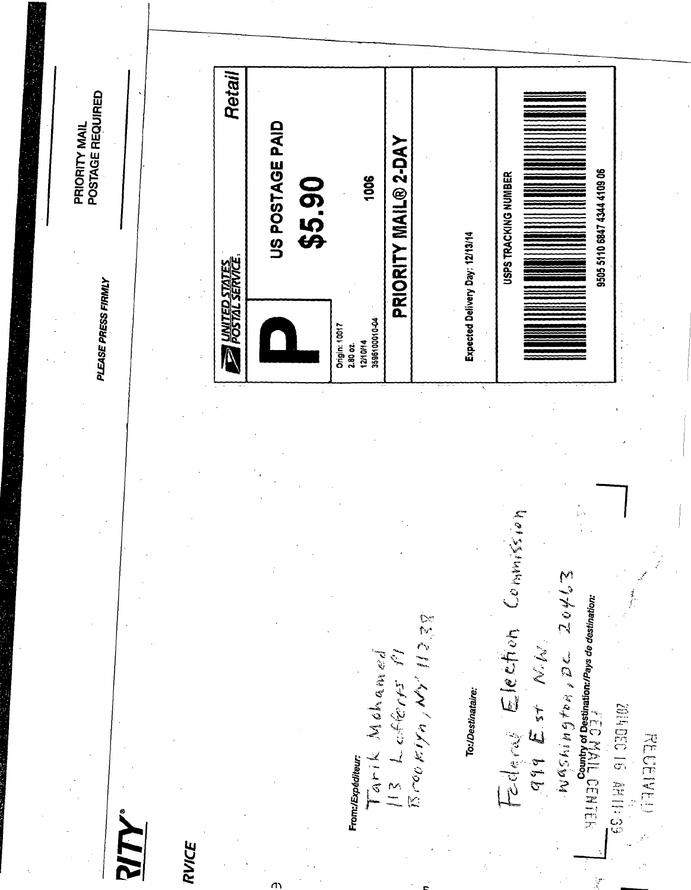Retail PRIORITY MAIL<br>POSTAGE REQUIRED US POSTAGE PAID PRIORITY MAIL® 2-DAY 9505 5110 6847 4344 4109 06 \$5.90 1006 USPS TRACKING NUMBER Expected Delivery Day: 12/13/14 **EXAMPLED STATES** PLEASE PRESS FIRMLY 12/10/14<br>3596100010-04 Origin: 10017 2.80 oz.

**RVICE** 

ጣ

From:/Expéditeur:

 $\bar{\mathbb{E}}\,\mathcal{L}(\mathcal{O}_{U}/\mathcal{E}_{U})\mathcal{L}_{U} \neq \emptyset, \ \mathcal{M}_{V} \in \mathcal{H}_{\mathcal{A}} \in \mathcal{E}_{\mathcal{A}}$ Tarik Mohamed

To:/Destinataire:

Federal Election Commission Washington, DC 20463

 $\frac{1}{2}$  (  $\frac{1}{2}$  )  $\frac{1}{2}$  )  $\frac{1}{2}$  )  $\frac{1}{2}$   $\frac{1}{4}$   $\frac{1}{2}$  are destination:

**BE:11HV 91 330 5102 RECEIVED**